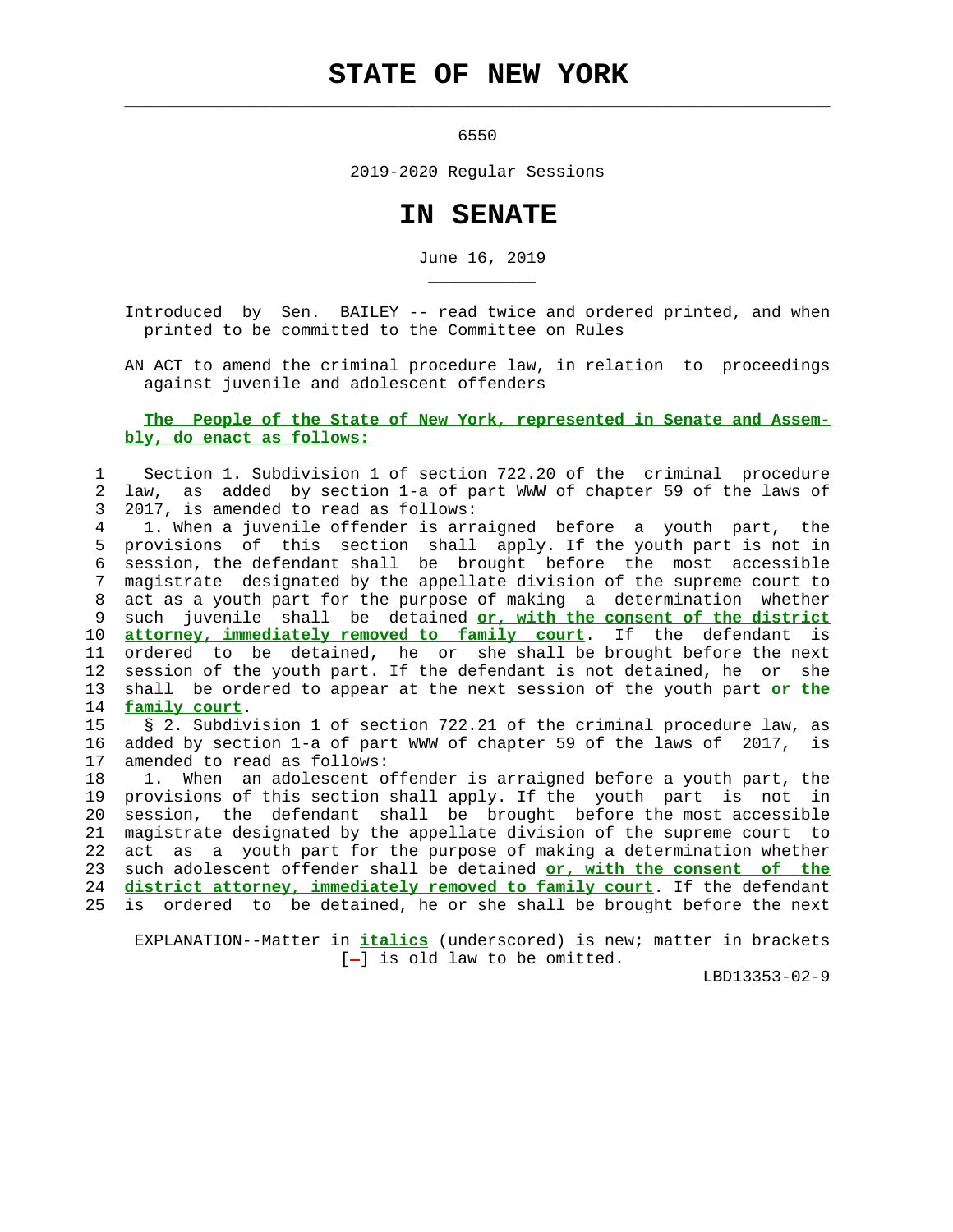## **STATE OF NEW YORK**

 $\mathcal{L}_\text{max} = \frac{1}{2} \sum_{i=1}^{n} \frac{1}{2} \sum_{i=1}^{n} \frac{1}{2} \sum_{i=1}^{n} \frac{1}{2} \sum_{i=1}^{n} \frac{1}{2} \sum_{i=1}^{n} \frac{1}{2} \sum_{i=1}^{n} \frac{1}{2} \sum_{i=1}^{n} \frac{1}{2} \sum_{i=1}^{n} \frac{1}{2} \sum_{i=1}^{n} \frac{1}{2} \sum_{i=1}^{n} \frac{1}{2} \sum_{i=1}^{n} \frac{1}{2} \sum_{i=1}^{n} \frac{1$ 

\_\_\_\_\_\_\_\_\_\_\_

6550

2019-2020 Regular Sessions

## **IN SENATE**

June 16, 2019

 Introduced by Sen. BAILEY -- read twice and ordered printed, and when printed to be committed to the Committee on Rules

 AN ACT to amend the criminal procedure law, in relation to proceedings against juvenile and adolescent offenders

 **The People of the State of New York, represented in Senate and Assem bly, do enact as follows:**

 1 Section 1. Subdivision 1 of section 722.20 of the criminal procedure 2 law, as added by section 1-a of part WWW of chapter 59 of the laws of 3 2017, is amended to read as follows:

 4 1. When a juvenile offender is arraigned before a youth part, the 5 provisions of this section shall apply. If the youth part is not in 6 session, the defendant shall be brought before the most accessible 7 magistrate designated by the appellate division of the supreme court to 8 act as a youth part for the purpose of making a determination whether 9 such juvenile shall be detained **or, with the consent of the district** 10 **attorney, immediately removed to family court**. If the defendant is 11 ordered to be detained, he or she shall be brought before the next 12 session of the youth part. If the defendant is not detained, he or she 13 shall be ordered to appear at the next session of the youth part **or the** 14 **family court**.

 15 § 2. Subdivision 1 of section 722.21 of the criminal procedure law, as 16 added by section 1-a of part WWW of chapter 59 of the laws of 2017, is 17 amended to read as follows:

 18 1. When an adolescent offender is arraigned before a youth part, the 19 provisions of this section shall apply. If the youth part is not in 20 session, the defendant shall be brought before the most accessible 21 magistrate designated by the appellate division of the supreme court to 22 act as a youth part for the purpose of making a determination whether 23 such adolescent offender shall be detained **or, with the consent of the** 24 **district attorney, immediately removed to family court**. If the defendant 25 is ordered to be detained, he or she shall be brought before the next

 EXPLANATION--Matter in **italics** (underscored) is new; matter in brackets  $[-]$  is old law to be omitted.

LBD13353-02-9